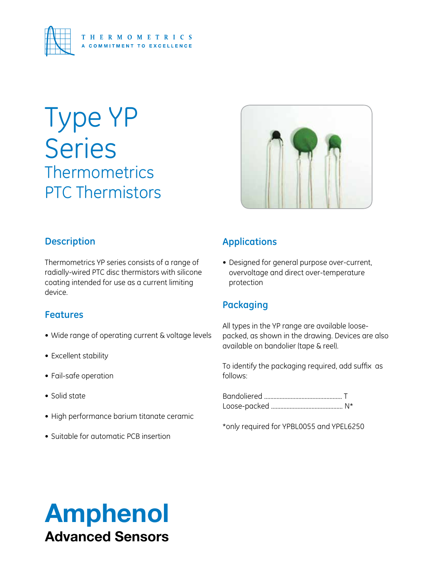

# Type YP **Series Thermometrics** PTC Thermistors



### **Description**

Thermometrics YP series consists of a range of radially-wired PTC disc thermistors with silicone coating intended for use as a current limiting device.

## **Features**

- Wide range of operating current & voltage levels
- Excellent stability
- • Fail-safe operation
- Solid state
- • High performance barium titanate ceramic
- Suitable for automatic PCB insertion

## **Applications**

• Designed for general purpose over-current, overvoltage and direct over-temperature protection

## **Packaging**

All types in the YP range are available loosepacked, as shown in the drawing. Devices are also available on bandolier (tape & reel).

To identify the packaging required, add suffix as follows:

Bandoliered .................................................. T Loose-packed .............................................. N\*

\*only required for YPBL0055 and YPEL6250

# Amphenol Advanced Sensors